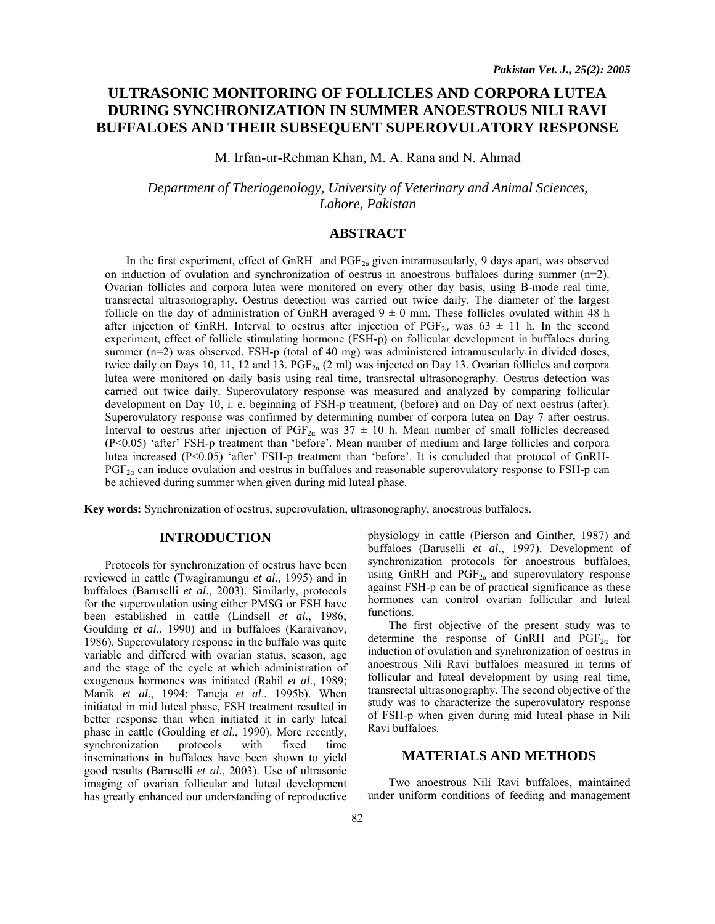# **ULTRASONIC MONITORING OF FOLLICLES AND CORPORA LUTEA DURING SYNCHRONIZATION IN SUMMER ANOESTROUS NILI RAVI BUFFALOES AND THEIR SUBSEQUENT SUPEROVULATORY RESPONSE**

M. Irfan-ur-Rehman Khan, M. A. Rana and N. Ahmad

*Department of Theriogenology, University of Veterinary and Animal Sciences, Lahore, Pakistan* 

## **ABSTRACT**

In the first experiment, effect of GnRH and  $PGF_{2\alpha}$  given intramuscularly, 9 days apart, was observed on induction of ovulation and synchronization of oestrus in anoestrous buffaloes during summer (n=2). Ovarian follicles and corpora lutea were monitored on every other day basis, using B-mode real time, transrectal ultrasonography. Oestrus detection was carried out twice daily. The diameter of the largest follicle on the day of administration of GnRH averaged  $9 \pm 0$  mm. These follicles ovulated within 48 h after injection of GnRH. Interval to oestrus after injection of PGF<sub>2a</sub> was 63  $\pm$  11 h. In the second experiment, effect of follicle stimulating hormone (FSH-p) on follicular development in buffaloes during summer (n=2) was observed. FSH-p (total of 40 mg) was administered intramuscularly in divided doses, twice daily on Days 10, 11, 12 and 13. PGF<sub>2 $\alpha$ </sub> (2 ml) was injected on Day 13. Ovarian follicles and corpora lutea were monitored on daily basis using real time, transrectal ultrasonography. Oestrus detection was carried out twice daily. Superovulatory response was measured and analyzed by comparing follicular development on Day 10, i. e. beginning of FSH-p treatment, (before) and on Day of next oestrus (after). Superovulatory response was confirmed by determining number of corpora lutea on Day 7 after oestrus. Interval to oestrus after injection of  $PGF_{2\alpha}$  was  $37 \pm 10$  h. Mean number of small follicles decreased (P<0.05) 'after' FSH-p treatment than 'before'. Mean number of medium and large follicles and corpora lutea increased (P<0.05) 'after' FSH-p treatment than 'before'. It is concluded that protocol of GnRH- $PGF_{2\alpha}$  can induce ovulation and oestrus in buffaloes and reasonable superovulatory response to FSH-p can be achieved during summer when given during mid luteal phase.

**Key words:** Synchronization of oestrus, superovulation, ultrasonography, anoestrous buffaloes.

## **INTRODUCTION**

Protocols for synchronization of oestrus have been reviewed in cattle (Twagiramungu *et al*., 1995) and in buffaloes (Baruselli *et al*., 2003). Similarly, protocols for the superovulation using either PMSG or FSH have been established in cattle (Lindsell *et al*., 1986; Goulding *et al*., 1990) and in buffaloes (Karaivanov, 1986). Superovulatory response in the buffalo was quite variable and differed with ovarian status, season, age and the stage of the cycle at which administration of exogenous hormones was initiated (Rahil *et al*., 1989; Manik *et al*., 1994; Taneja *et al*., 1995b). When initiated in mid luteal phase, FSH treatment resulted in better response than when initiated it in early luteal phase in cattle (Goulding *et al*., 1990). More recently, synchronization protocols with fixed time inseminations in buffaloes have been shown to yield good results (Baruselli *et al*., 2003). Use of ultrasonic imaging of ovarian follicular and luteal development has greatly enhanced our understanding of reproductive

physiology in cattle (Pierson and Ginther, 1987) and buffaloes (Baruselli *et al*., 1997). Development of synchronization protocols for anoestrous buffaloes, using GnRH and  $PGF_{2\alpha}$  and superovulatory response against FSH-p can be of practical significance as these hormones can control ovarian follicular and luteal functions.

The first objective of the present study was to determine the response of GnRH and  $PGF_{2\alpha}$  for induction of ovulation and synehronization of oestrus in anoestrous Nili Ravi buffaloes measured in terms of follicular and luteal development by using real time, transrectal ultrasonography. The second objective of the study was to characterize the superovulatory response of FSH-p when given during mid luteal phase in Nili Ravi buffaloes.

## **MATERIALS AND METHODS**

Two anoestrous Nili Ravi buffaloes, maintained under uniform conditions of feeding and management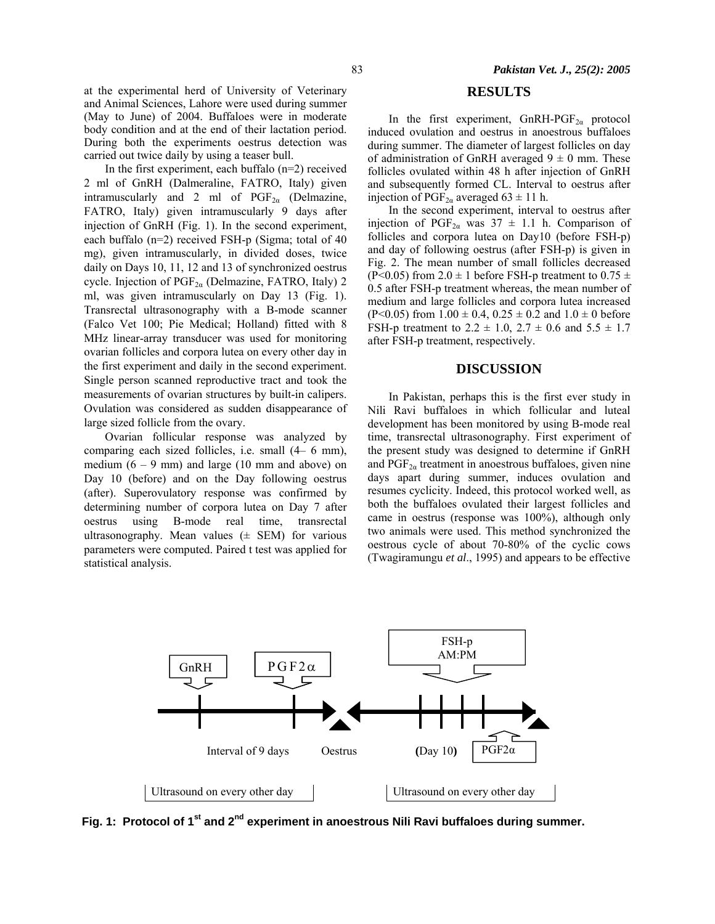at the experimental herd of University of Veterinary and Animal Sciences, Lahore were used during summer (May to June) of 2004. Buffaloes were in moderate body condition and at the end of their lactation period. During both the experiments oestrus detection was carried out twice daily by using a teaser bull.

In the first experiment, each buffalo  $(n=2)$  received 2 ml of GnRH (Dalmeraline, FATRO, Italy) given intramuscularly and 2 ml of  $PGF_{2\alpha}$  (Delmazine, FATRO, Italy) given intramuscularly 9 days after injection of GnRH (Fig. 1). In the second experiment, each buffalo (n=2) received FSH-p (Sigma; total of 40 mg), given intramuscularly, in divided doses, twice daily on Days 10, 11, 12 and 13 of synchronized oestrus cycle. Injection of PGF<sub>2α</sub> (Delmazine, FATRO, Italy) 2 ml, was given intramuscularly on Day 13 (Fig. 1). Transrectal ultrasonography with a B-mode scanner (Falco Vet 100; Pie Medical; Holland) fitted with 8 MHz linear-array transducer was used for monitoring ovarian follicles and corpora lutea on every other day in the first experiment and daily in the second experiment. Single person scanned reproductive tract and took the measurements of ovarian structures by built-in calipers. Ovulation was considered as sudden disappearance of large sized follicle from the ovary.

Ovarian follicular response was analyzed by comparing each sized follicles, i.e. small (4– 6 mm), medium  $(6 - 9$  mm) and large (10 mm and above) on Day 10 (before) and on the Day following oestrus (after). Superovulatory response was confirmed by determining number of corpora lutea on Day 7 after oestrus using B-mode real time, transrectal ultrasonography. Mean values  $(\pm$  SEM) for various parameters were computed. Paired t test was applied for statistical analysis.

## **RESULTS**

In the first experiment, GnRH-PGF<sub>2 $\alpha$ </sub> protocol induced ovulation and oestrus in anoestrous buffaloes during summer. The diameter of largest follicles on day of administration of GnRH averaged  $9 \pm 0$  mm. These follicles ovulated within 48 h after injection of GnRH and subsequently formed CL. Interval to oestrus after injection of PGF<sub>2a</sub> averaged 63  $\pm$  11 h.

In the second experiment, interval to oestrus after injection of PGF<sub>2a</sub> was  $37 \pm 1.1$  h. Comparison of follicles and corpora lutea on Day10 (before FSH-p) and day of following oestrus (after FSH-p) is given in Fig. 2. The mean number of small follicles decreased (P<0.05) from 2.0  $\pm$  1 before FSH-p treatment to 0.75  $\pm$ 0.5 after FSH-p treatment whereas, the mean number of medium and large follicles and corpora lutea increased  $(P<0.05)$  from  $1.00 \pm 0.4$ ,  $0.25 \pm 0.2$  and  $1.0 \pm 0$  before FSH-p treatment to  $2.2 \pm 1.0$ ,  $2.7 \pm 0.6$  and  $5.5 \pm 1.7$ after FSH-p treatment, respectively.

### **DISCUSSION**

In Pakistan, perhaps this is the first ever study in Nili Ravi buffaloes in which follicular and luteal development has been monitored by using B-mode real time, transrectal ultrasonography. First experiment of the present study was designed to determine if GnRH and  $PGF_{2\alpha}$  treatment in anoestrous buffaloes, given nine days apart during summer, induces ovulation and resumes cyclicity. Indeed, this protocol worked well, as both the buffaloes ovulated their largest follicles and came in oestrus (response was 100%), although only two animals were used. This method synchronized the oestrous cycle of about 70-80% of the cyclic cows (Twagiramungu *et al*., 1995) and appears to be effective



Fig. 1: Protocol of 1<sup>st</sup> and 2<sup>nd</sup> experiment in anoestrous Nili Ravi buffaloes during summer.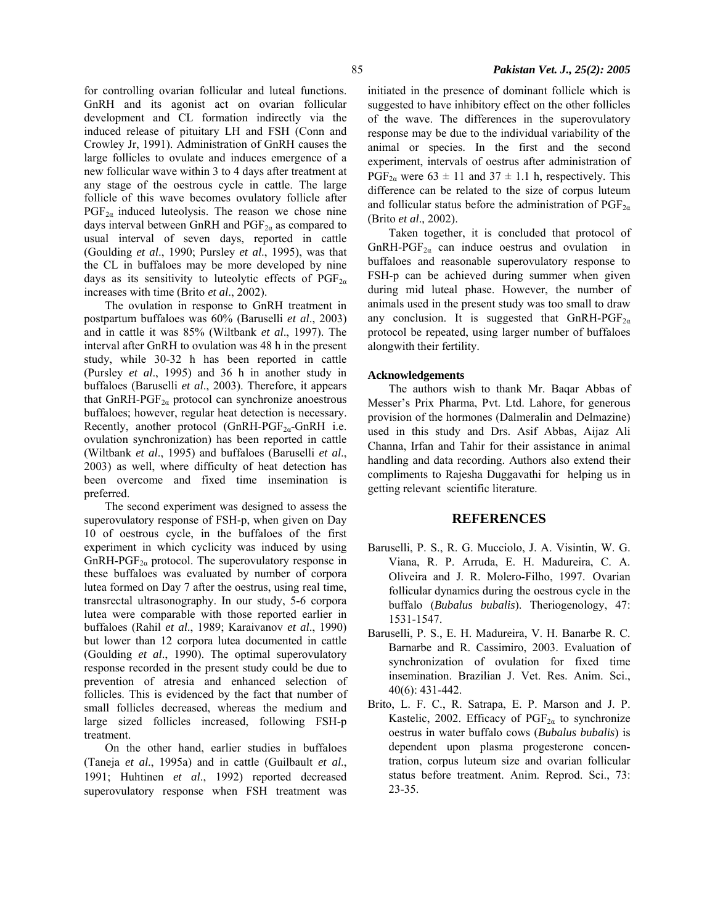for controlling ovarian follicular and luteal functions. GnRH and its agonist act on ovarian follicular development and CL formation indirectly via the induced release of pituitary LH and FSH (Conn and Crowley Jr, 1991). Administration of GnRH causes the large follicles to ovulate and induces emergence of a new follicular wave within 3 to 4 days after treatment at any stage of the oestrous cycle in cattle. The large follicle of this wave becomes ovulatory follicle after  $PGF_{2\alpha}$  induced luteolysis. The reason we chose nine days interval between GnRH and  $PGF_{2\alpha}$  as compared to usual interval of seven days, reported in cattle

(Goulding *et al*., 1990; Pursley *et al*., 1995), was that the CL in buffaloes may be more developed by nine days as its sensitivity to luteolytic effects of  $PGF_{2\alpha}$ increases with time (Brito *et al*., 2002).

The ovulation in response to GnRH treatment in postpartum buffaloes was 60% (Baruselli *et al*., 2003) and in cattle it was 85% (Wiltbank *et al*., 1997). The interval after GnRH to ovulation was 48 h in the present study, while 30-32 h has been reported in cattle (Pursley *et al*., 1995) and 36 h in another study in buffaloes (Baruselli *et al*., 2003). Therefore, it appears that GnRH-PGF<sub>2 $\alpha$ </sub> protocol can synchronize anoestrous buffaloes; however, regular heat detection is necessary. Recently, another protocol (GnRH-PGF $_{2\alpha}$ -GnRH i.e. ovulation synchronization) has been reported in cattle (Wiltbank *et al*., 1995) and buffaloes (Baruselli *et al*., 2003) as well, where difficulty of heat detection has been overcome and fixed time insemination is preferred.

The second experiment was designed to assess the superovulatory response of FSH-p, when given on Day 10 of oestrous cycle, in the buffaloes of the first experiment in which cyclicity was induced by using  $GnRH-PGF<sub>2\alpha</sub>$  protocol. The superovulatory response in these buffaloes was evaluated by number of corpora lutea formed on Day 7 after the oestrus, using real time, transrectal ultrasonography. In our study, 5-6 corpora lutea were comparable with those reported earlier in buffaloes (Rahil *et al*., 1989; Karaivanov *et al*., 1990) but lower than 12 corpora lutea documented in cattle (Goulding *et al*., 1990). The optimal superovulatory response recorded in the present study could be due to prevention of atresia and enhanced selection of follicles. This is evidenced by the fact that number of small follicles decreased, whereas the medium and large sized follicles increased, following FSH-p treatment.

On the other hand, earlier studies in buffaloes (Taneja *et al*., 1995a) and in cattle (Guilbault *et al*., 1991; Huhtinen *et al*., 1992) reported decreased superovulatory response when FSH treatment was initiated in the presence of dominant follicle which is suggested to have inhibitory effect on the other follicles of the wave. The differences in the superovulatory response may be due to the individual variability of the animal or species. In the first and the second experiment, intervals of oestrus after administration of PGF<sub>2a</sub> were  $63 \pm 11$  and  $37 \pm 1.1$  h, respectively. This difference can be related to the size of corpus luteum and follicular status before the administration of  $PGF_{2\alpha}$ (Brito *et al*., 2002).

Taken together, it is concluded that protocol of  $GnRH-PGF<sub>2\alpha</sub>$  can induce oestrus and ovulation in buffaloes and reasonable superovulatory response to FSH-p can be achieved during summer when given during mid luteal phase. However, the number of animals used in the present study was too small to draw any conclusion. It is suggested that  $GnRH-PGF_{2\alpha}$ protocol be repeated, using larger number of buffaloes alongwith their fertility.

#### **Acknowledgements**

The authors wish to thank Mr. Baqar Abbas of Messer's Prix Pharma, Pvt. Ltd. Lahore, for generous provision of the hormones (Dalmeralin and Delmazine) used in this study and Drs. Asif Abbas, Aijaz Ali Channa, Irfan and Tahir for their assistance in animal handling and data recording. Authors also extend their compliments to Rajesha Duggavathi for helping us in getting relevant scientific literature.

### **REFERENCES**

- Baruselli, P. S., R. G. Mucciolo, J. A. Visintin, W. G. Viana, R. P. Arruda, E. H. Madureira, C. A. Oliveira and J. R. Molero-Filho, 1997. Ovarian follicular dynamics during the oestrous cycle in the buffalo (*Bubalus bubalis*). Theriogenology, 47: 1531-1547.
- Baruselli, P. S., E. H. Madureira, V. H. Banarbe R. C. Barnarbe and R. Cassimiro, 2003. Evaluation of synchronization of ovulation for fixed time insemination. Brazilian J. Vet. Res. Anim. Sci., 40(6): 431-442.
- Brito, L. F. C., R. Satrapa, E. P. Marson and J. P. Kastelic, 2002. Efficacy of  $PGF_{2\alpha}$  to synchronize oestrus in water buffalo cows (*Bubalus bubalis*) is dependent upon plasma progesterone concentration, corpus luteum size and ovarian follicular status before treatment. Anim. Reprod. Sci., 73: 23-35.